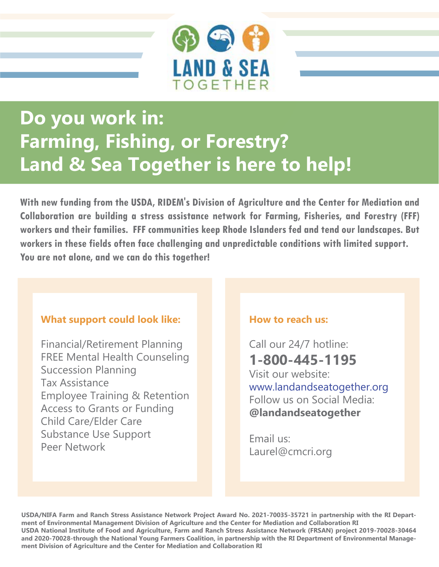

# **Do you work in: Farming, Fishing, or Forestry? Land & Sea Together is here to help!**

**With new funding from the USDA, RIDEM's Division of Agriculture and the Center for Mediation and Collaboration are building a stress assistance network for Farming, Fisheries, and Forestry (FFF) workers and their families. FFF communities keep Rhode Islanders fed and tend our landscapes. But workers in these fields often face challenging and unpredictable conditions with limited support. You are not alone, and we can do this together!**

## **What support could look like:**

Financial/Retirement Planning FREE Mental Health Counseling Succession Planning Tax Assistance Employee Training & Retention Access to Grants or Funding Child Care/Elder Care Substance Use Support Peer Network

## **How to reach us:**

Call our 24/7 hotline: **1-800-445-1195** Visit our website: www.landandseatogether.org Follow us on Social Media: **@landandseatogether**

Email us: Laurel@cmcri.org

**USDA/NIFA Farm and Ranch Stress Assistance Network Project Award No. 2021-70035-35721 in partnership with the RI Department of Environmental Management Division of Agriculture and the Center for Mediation and Collaboration RI USDA National Institute of Food and Agriculture, Farm and Ranch Stress Assistance Network (FRSAN) project 2019-70028-30464 and 2020-70028-through the National Young Farmers Coalition, in partnership with the RI Department of Environmental Management Division of Agriculture and the Center for Mediation and Collaboration RI**